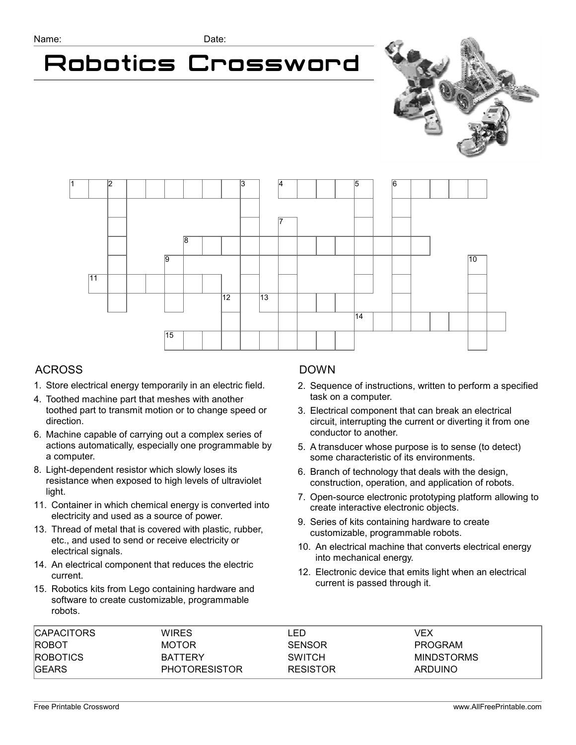# Robotics Crossword





### ACROSS

- 1. Store electrical energy temporarily in an electric field.
- 4. Toothed machine part that meshes with another toothed part to transmit motion or to change speed or direction.
- 6. Machine capable of carrying out a complex series of actions automatically, especially one programmable by a computer.
- 8. Light-dependent resistor which slowly loses its resistance when exposed to high levels of ultraviolet light.
- 11. Container in which chemical energy is converted into electricity and used as a source of power.
- 13. Thread of metal that is covered with plastic, rubber, etc., and used to send or receive electricity or electrical signals.
- 14. An electrical component that reduces the electric current.
- 15. Robotics kits from Lego containing hardware and software to create customizable, programmable robots.

## DOWN

- 2. Sequence of instructions, written to perform a specified task on a computer.
- 3. Electrical component that can break an electrical circuit, interrupting the current or diverting it from one conductor to another.
- 5. A transducer whose purpose is to sense (to detect) some characteristic of its environments.
- 6. Branch of technology that deals with the design, construction, operation, and application of robots.
- 7. Open-source electronic prototyping platform allowing to create interactive electronic objects.
- 9. Series of kits containing hardware to create customizable, programmable robots.
- 10. An electrical machine that converts electrical energy into mechanical energy.
- 12. Electronic device that emits light when an electrical current is passed through it.

| <b>CAPACITORS</b> | <b>WIRES</b>         | .ED             | VEX               |  |
|-------------------|----------------------|-----------------|-------------------|--|
| <b>ROBOT</b>      | <b>MOTOR</b>         | <b>SENSOR</b>   | PROGRAM           |  |
| <b>ROBOTICS</b>   | <b>BATTERY</b>       | <b>SWITCH</b>   | <b>MINDSTORMS</b> |  |
| <b>GEARS</b>      | <b>PHOTORESISTOR</b> | <b>RESISTOR</b> | <b>ARDUINO</b>    |  |